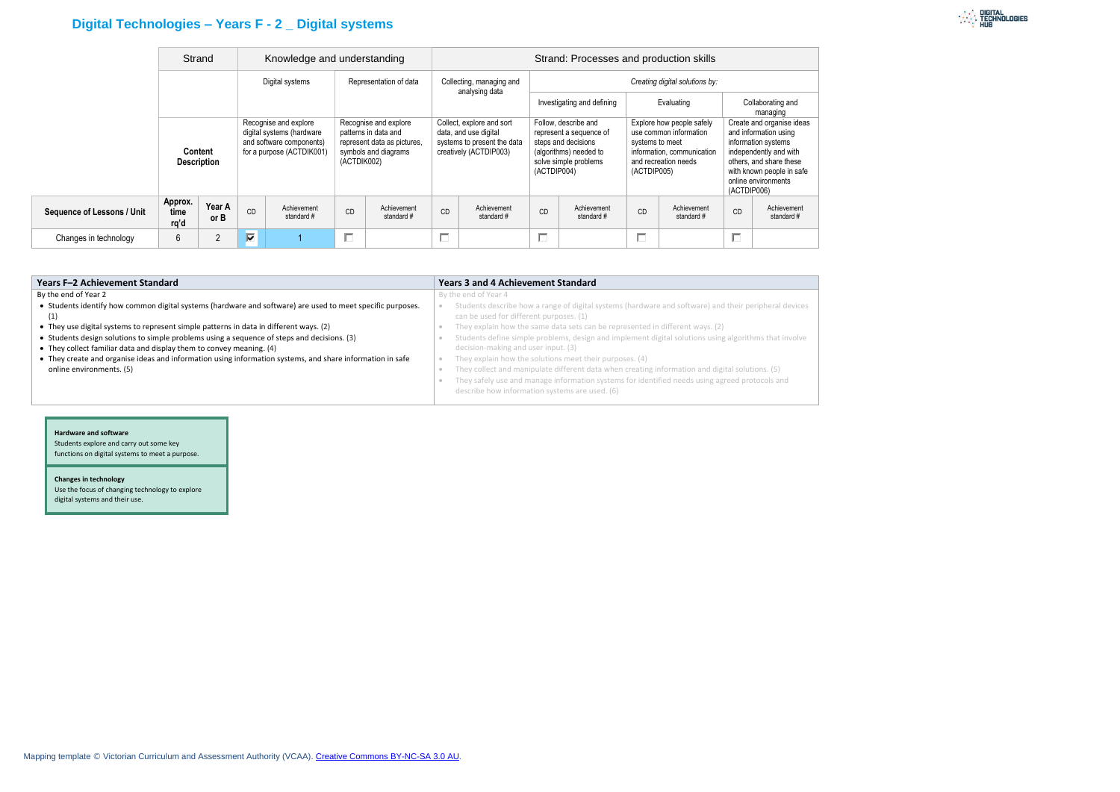# **Digital Technologies – Years F - 2 \_ Digital systems**

|                                   |                         | Strand<br>Knowledge and understanding |                                                                                                             |                          |                                                                                                                     |                                            | Strand: Processes and production skills                                                                     |                                |                                                                                                                                          |                               |                                                                                                                                             |                           |                                                                                                                                                                                                   |                          |
|-----------------------------------|-------------------------|---------------------------------------|-------------------------------------------------------------------------------------------------------------|--------------------------|---------------------------------------------------------------------------------------------------------------------|--------------------------------------------|-------------------------------------------------------------------------------------------------------------|--------------------------------|------------------------------------------------------------------------------------------------------------------------------------------|-------------------------------|---------------------------------------------------------------------------------------------------------------------------------------------|---------------------------|---------------------------------------------------------------------------------------------------------------------------------------------------------------------------------------------------|--------------------------|
| Content<br><b>Description</b>     |                         | Digital systems                       |                                                                                                             | Representation of data   |                                                                                                                     | Collecting, managing and<br>analysing data |                                                                                                             | Creating digital solutions by: |                                                                                                                                          |                               |                                                                                                                                             |                           |                                                                                                                                                                                                   |                          |
|                                   |                         |                                       |                                                                                                             |                          | Investigating and defining                                                                                          |                                            |                                                                                                             | Evaluating                     |                                                                                                                                          | Collaborating and<br>managing |                                                                                                                                             |                           |                                                                                                                                                                                                   |                          |
|                                   |                         |                                       | Recognise and explore<br>digital systems (hardware<br>and software components)<br>for a purpose (ACTDIK001) |                          | Recognise and explore<br>patterns in data and<br>represent data as pictures,<br>symbols and diagrams<br>(ACTDIK002) |                                            | Collect, explore and sort<br>data, and use digital<br>systems to present the data<br>creatively (ACTDIP003) |                                | Follow, describe and<br>represent a sequence of<br>steps and decisions<br>(algorithms) needed to<br>solve simple problems<br>(ACTDIP004) |                               | Explore how people safely<br>use common information<br>systems to meet<br>information, communication<br>and recreation needs<br>(ACTDIP005) |                           | Create and organise ideas<br>and information using<br>information systems<br>independently and with<br>others, and share these<br>with known people in safe<br>online environments<br>(ACTDIP006) |                          |
| <b>Sequence of Lessons / Unit</b> | Approx.<br>time<br>rq'd | Year A<br>or B                        | <b>CD</b>                                                                                                   | Achievement<br>standard# | CD                                                                                                                  | Achievement<br>standard#                   | CD                                                                                                          | Achievement<br>standard#       | CD                                                                                                                                       | Achievement<br>standard#      | <b>CD</b>                                                                                                                                   | Achievement<br>standard # | <b>CD</b>                                                                                                                                                                                         | Achievement<br>standard# |
| Changes in technology             | 6                       | 2                                     | ⊽                                                                                                           |                          | П                                                                                                                   |                                            | П                                                                                                           |                                | П                                                                                                                                        |                               | П                                                                                                                                           |                           |                                                                                                                                                                                                   |                          |

| Years F-2 Achievement Standard                                                                             | <b>Years 3 and 4 Achievement Standard</b>                                                             |
|------------------------------------------------------------------------------------------------------------|-------------------------------------------------------------------------------------------------------|
| By the end of Year 2                                                                                       | By the end of Year 4                                                                                  |
| • Students identify how common digital systems (hardware and software) are used to meet specific purposes. | Students describe how a range of digital systems (hardware and software) and their peripheral devices |
| (1)                                                                                                        | can be used for different purposes. (1)                                                               |
| • They use digital systems to represent simple patterns in data in different ways. (2)                     | They explain how the same data sets can be represented in different ways. (2)                         |
| • Students design solutions to simple problems using a sequence of steps and decisions. (3)                | Students define simple problems, design and implement digital solutions using algorithms that involve |
| • They collect familiar data and display them to convey meaning. (4)                                       | decision-making and user input. (3)                                                                   |
| • They create and organise ideas and information using information systems, and share information in safe  | They explain how the solutions meet their purposes. (4)                                               |
| online environments. (5)                                                                                   | They collect and manipulate different data when creating information and digital solutions. (5)       |
|                                                                                                            | They safely use and manage information systems for identified needs using agreed protocols and        |
|                                                                                                            | describe how information systems are used. (6)                                                        |

#### **Hardware and software**

Students explore and carry out some key functions on digital systems to meet a purpose.

#### **Changes in technology**

Use the focus of changing technology to explore digital systems and their use.

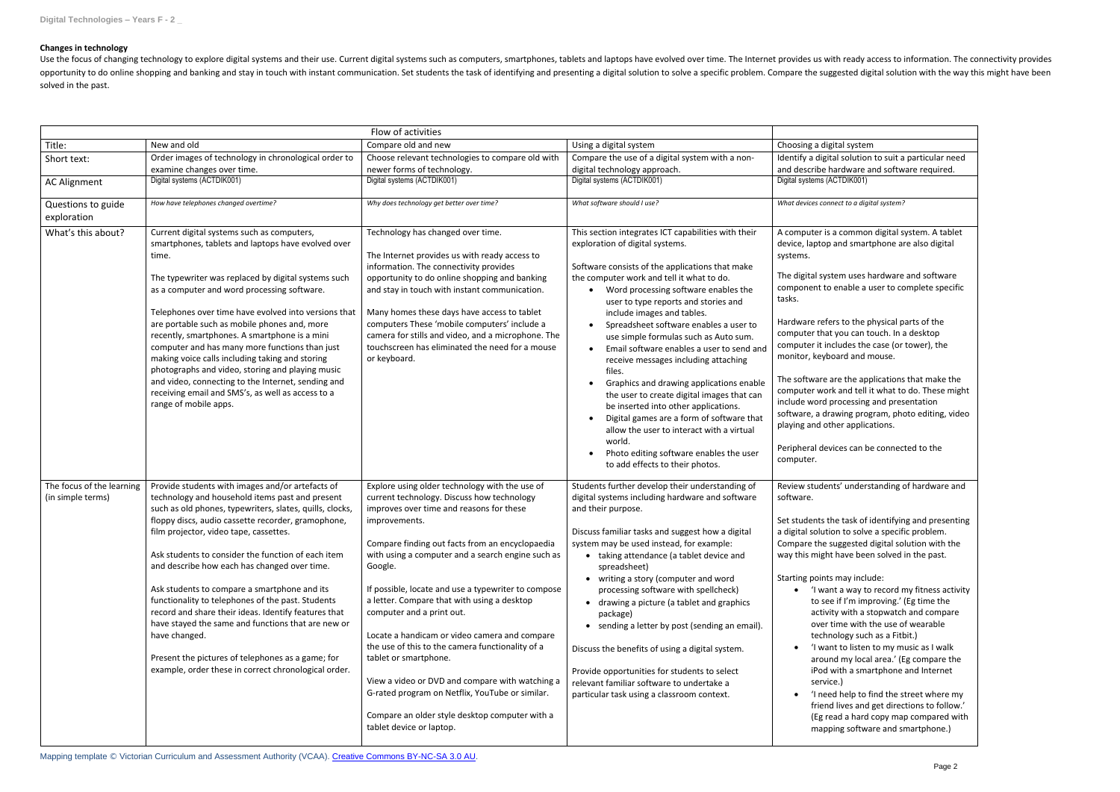## **Changes in technology**

Use the focus of changing technology to explore digital systems and their use. Current digital systems such as computers, smartphones, tablets and laptops have evolved over time. The Internet provides us with ready access opportunity to do online shopping and banking and stay in touch with instant communication. Set students the task of identifying and presenting a digital solution to solve a specific problem. Compare the suggested digital solved in the past.

|                                                |                                                                                                                                                                                                                                                                                                                                                                                                                                                                                                                                                                                                                                                                                                                        | Flow of activities                                                                                                                                                                                                                                                                                                                                                                                                                                                                                                                                                                                                                                                                                                                |                                                                                                                                                                                                                                                                                                                                                                                                                                                                                                                                                                                                                                                                                                                                                                                                              |                                                                                                                                                                                                                                                                                                                                                                                                                                                                                                                                                                                                                                                                                                                                                                                                                                                    |
|------------------------------------------------|------------------------------------------------------------------------------------------------------------------------------------------------------------------------------------------------------------------------------------------------------------------------------------------------------------------------------------------------------------------------------------------------------------------------------------------------------------------------------------------------------------------------------------------------------------------------------------------------------------------------------------------------------------------------------------------------------------------------|-----------------------------------------------------------------------------------------------------------------------------------------------------------------------------------------------------------------------------------------------------------------------------------------------------------------------------------------------------------------------------------------------------------------------------------------------------------------------------------------------------------------------------------------------------------------------------------------------------------------------------------------------------------------------------------------------------------------------------------|--------------------------------------------------------------------------------------------------------------------------------------------------------------------------------------------------------------------------------------------------------------------------------------------------------------------------------------------------------------------------------------------------------------------------------------------------------------------------------------------------------------------------------------------------------------------------------------------------------------------------------------------------------------------------------------------------------------------------------------------------------------------------------------------------------------|----------------------------------------------------------------------------------------------------------------------------------------------------------------------------------------------------------------------------------------------------------------------------------------------------------------------------------------------------------------------------------------------------------------------------------------------------------------------------------------------------------------------------------------------------------------------------------------------------------------------------------------------------------------------------------------------------------------------------------------------------------------------------------------------------------------------------------------------------|
| Title:                                         | New and old                                                                                                                                                                                                                                                                                                                                                                                                                                                                                                                                                                                                                                                                                                            | Compare old and new                                                                                                                                                                                                                                                                                                                                                                                                                                                                                                                                                                                                                                                                                                               | Using a digital system                                                                                                                                                                                                                                                                                                                                                                                                                                                                                                                                                                                                                                                                                                                                                                                       | Choosing a digital system                                                                                                                                                                                                                                                                                                                                                                                                                                                                                                                                                                                                                                                                                                                                                                                                                          |
| Short text:                                    | Order images of technology in chronological order to                                                                                                                                                                                                                                                                                                                                                                                                                                                                                                                                                                                                                                                                   | Choose relevant technologies to compare old with                                                                                                                                                                                                                                                                                                                                                                                                                                                                                                                                                                                                                                                                                  | Compare the use of a digital system with a non-                                                                                                                                                                                                                                                                                                                                                                                                                                                                                                                                                                                                                                                                                                                                                              | Identify a digital solution to suit a particular need                                                                                                                                                                                                                                                                                                                                                                                                                                                                                                                                                                                                                                                                                                                                                                                              |
|                                                | examine changes over time.                                                                                                                                                                                                                                                                                                                                                                                                                                                                                                                                                                                                                                                                                             | newer forms of technology.                                                                                                                                                                                                                                                                                                                                                                                                                                                                                                                                                                                                                                                                                                        | digital technology approach.                                                                                                                                                                                                                                                                                                                                                                                                                                                                                                                                                                                                                                                                                                                                                                                 | and describe hardware and software required.                                                                                                                                                                                                                                                                                                                                                                                                                                                                                                                                                                                                                                                                                                                                                                                                       |
| <b>AC Alignment</b>                            | Digital systems (ACTDIK001)                                                                                                                                                                                                                                                                                                                                                                                                                                                                                                                                                                                                                                                                                            | Digital systems (ACTDIK001)                                                                                                                                                                                                                                                                                                                                                                                                                                                                                                                                                                                                                                                                                                       | Digital systems (ACTDIK001)                                                                                                                                                                                                                                                                                                                                                                                                                                                                                                                                                                                                                                                                                                                                                                                  | Digital systems (ACTDIK001)                                                                                                                                                                                                                                                                                                                                                                                                                                                                                                                                                                                                                                                                                                                                                                                                                        |
| Questions to guide<br>exploration              | How have telephones changed overtime?                                                                                                                                                                                                                                                                                                                                                                                                                                                                                                                                                                                                                                                                                  | Why does technology get better over time?                                                                                                                                                                                                                                                                                                                                                                                                                                                                                                                                                                                                                                                                                         | What software should I use?                                                                                                                                                                                                                                                                                                                                                                                                                                                                                                                                                                                                                                                                                                                                                                                  | What devices connect to a digital system?                                                                                                                                                                                                                                                                                                                                                                                                                                                                                                                                                                                                                                                                                                                                                                                                          |
|                                                |                                                                                                                                                                                                                                                                                                                                                                                                                                                                                                                                                                                                                                                                                                                        |                                                                                                                                                                                                                                                                                                                                                                                                                                                                                                                                                                                                                                                                                                                                   |                                                                                                                                                                                                                                                                                                                                                                                                                                                                                                                                                                                                                                                                                                                                                                                                              |                                                                                                                                                                                                                                                                                                                                                                                                                                                                                                                                                                                                                                                                                                                                                                                                                                                    |
| What's this about?                             | Current digital systems such as computers,<br>smartphones, tablets and laptops have evolved over<br>time.<br>The typewriter was replaced by digital systems such<br>as a computer and word processing software.<br>Telephones over time have evolved into versions that<br>are portable such as mobile phones and, more<br>recently, smartphones. A smartphone is a mini<br>computer and has many more functions than just<br>making voice calls including taking and storing<br>photographs and video, storing and playing music<br>and video, connecting to the Internet, sending and<br>receiving email and SMS's, as well as access to a<br>range of mobile apps.                                                  | Technology has changed over time.<br>The Internet provides us with ready access to<br>information. The connectivity provides<br>opportunity to do online shopping and banking<br>and stay in touch with instant communication.<br>Many homes these days have access to tablet<br>computers These 'mobile computers' include a<br>camera for stills and video, and a microphone. The<br>touchscreen has eliminated the need for a mouse<br>or keyboard.                                                                                                                                                                                                                                                                            | This section integrates ICT capabilities with their<br>exploration of digital systems.<br>Software consists of the applications that make<br>the computer work and tell it what to do.<br>• Word processing software enables the<br>user to type reports and stories and<br>include images and tables.<br>Spreadsheet software enables a user to<br>use simple formulas such as Auto sum.<br>Email software enables a user to send and<br>receive messages including attaching<br>files.<br>Graphics and drawing applications enable<br>the user to create digital images that can<br>be inserted into other applications.<br>Digital games are a form of software that<br>allow the user to interact with a virtual<br>world.<br>Photo editing software enables the user<br>to add effects to their photos. | A computer is a common digital system. A tablet<br>device, laptop and smartphone are also digital<br>systems.<br>The digital system uses hardware and software<br>component to enable a user to complete specific<br>tasks.<br>Hardware refers to the physical parts of the<br>computer that you can touch. In a desktop<br>computer it includes the case (or tower), the<br>monitor, keyboard and mouse.<br>The software are the applications that make the<br>computer work and tell it what to do. These might<br>include word processing and presentation<br>software, a drawing program, photo editing, video<br>playing and other applications.<br>Peripheral devices can be connected to the<br>computer.                                                                                                                                   |
| The focus of the learning<br>(in simple terms) | Provide students with images and/or artefacts of<br>technology and household items past and present<br>such as old phones, typewriters, slates, quills, clocks,<br>floppy discs, audio cassette recorder, gramophone,<br>film projector, video tape, cassettes.<br>Ask students to consider the function of each item<br>and describe how each has changed over time.<br>Ask students to compare a smartphone and its<br>functionality to telephones of the past. Students<br>record and share their ideas. Identify features that<br>have stayed the same and functions that are new or<br>have changed.<br>Present the pictures of telephones as a game; for<br>example, order these in correct chronological order. | Explore using older technology with the use of<br>current technology. Discuss how technology<br>improves over time and reasons for these<br>improvements.<br>Compare finding out facts from an encyclopaedia<br>with using a computer and a search engine such as<br>Google.<br>If possible, locate and use a typewriter to compose<br>a letter. Compare that with using a desktop<br>computer and a print out.<br>Locate a handicam or video camera and compare<br>the use of this to the camera functionality of a<br>tablet or smartphone.<br>View a video or DVD and compare with watching a<br>G-rated program on Netflix, YouTube or similar.<br>Compare an older style desktop computer with a<br>tablet device or laptop. | Students further develop their understanding of<br>digital systems including hardware and software<br>and their purpose.<br>Discuss familiar tasks and suggest how a digital<br>system may be used instead, for example:<br>• taking attendance (a tablet device and<br>spreadsheet)<br>• writing a story (computer and word<br>processing software with spellcheck)<br>• drawing a picture (a tablet and graphics<br>package)<br>• sending a letter by post (sending an email).<br>Discuss the benefits of using a digital system.<br>Provide opportunities for students to select<br>relevant familiar software to undertake a<br>particular task using a classroom context.                                                                                                                               | Review students' understanding of hardware and<br>software.<br>Set students the task of identifying and presenting<br>a digital solution to solve a specific problem.<br>Compare the suggested digital solution with the<br>way this might have been solved in the past.<br>Starting points may include:<br>• 'I want a way to record my fitness activity<br>to see if I'm improving.' (Eg time the<br>activity with a stopwatch and compare<br>over time with the use of wearable<br>technology such as a Fitbit.)<br>I want to listen to my music as I walk<br>around my local area.' (Eg compare the<br>iPod with a smartphone and Internet<br>service.)<br>'I need help to find the street where my<br>$\bullet$<br>friend lives and get directions to follow.'<br>(Eg read a hard copy map compared with<br>mapping software and smartphone.) |

Mapping template © Victorian Curriculum and Assessment Authority (VCAA). [Creative Commons BY-NC-SA 3.0 AU.](https://creativecommons.org/licenses/by-nc-sa/3.0/au/)